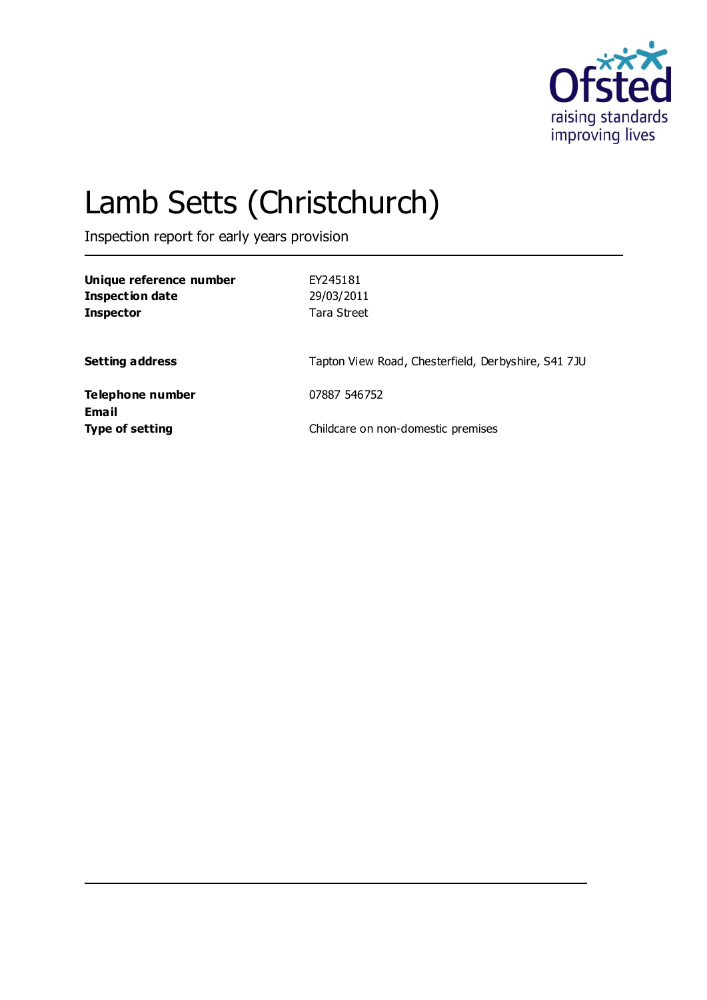

# Lamb Setts (Christchurch)

Inspection report for early years provision

| Unique reference number<br>Inspection date<br><b>Inspector</b> | FY245181<br>29/03/2011<br>Tara Street               |
|----------------------------------------------------------------|-----------------------------------------------------|
| <b>Setting address</b>                                         | Tapton View Road, Chesterfield, Derbyshire, S41 7JU |
| Telephone number                                               | 07887 546752                                        |
| Email<br><b>Type of setting</b>                                | Childcare on non-domestic premises                  |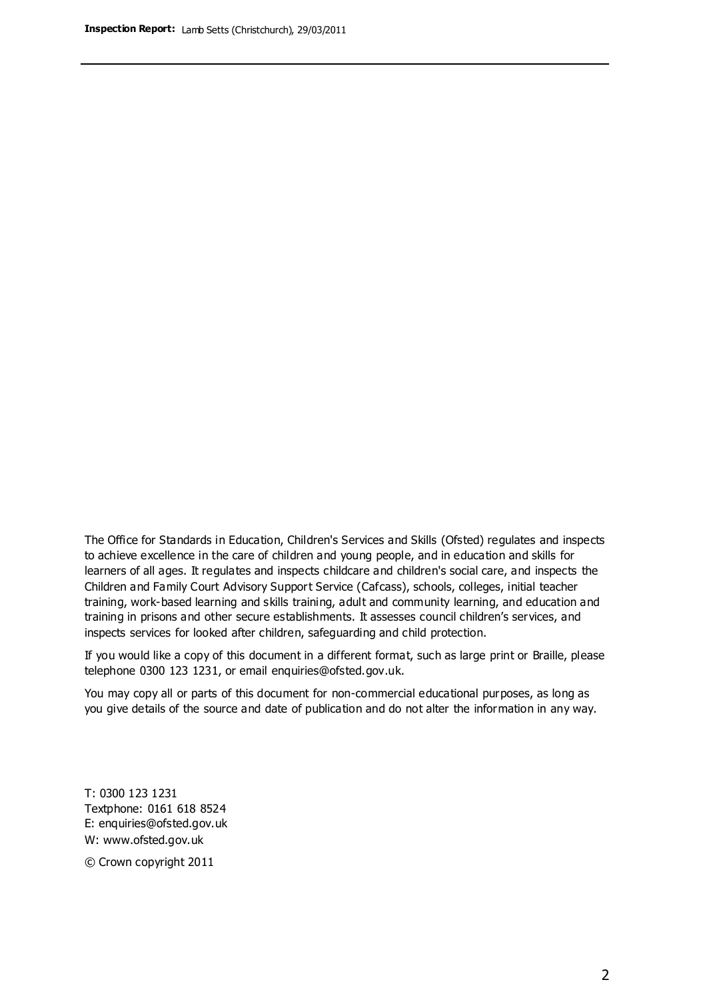The Office for Standards in Education, Children's Services and Skills (Ofsted) regulates and inspects to achieve excellence in the care of children and young people, and in education and skills for learners of all ages. It regulates and inspects childcare and children's social care, and inspects the Children and Family Court Advisory Support Service (Cafcass), schools, colleges, initial teacher training, work-based learning and skills training, adult and community learning, and education and training in prisons and other secure establishments. It assesses council children's services, and inspects services for looked after children, safeguarding and child protection.

If you would like a copy of this document in a different format, such as large print or Braille, please telephone 0300 123 1231, or email enquiries@ofsted.gov.uk.

You may copy all or parts of this document for non-commercial educational purposes, as long as you give details of the source and date of publication and do not alter the information in any way.

T: 0300 123 1231 Textphone: 0161 618 8524 E: enquiries@ofsted.gov.uk W: [www.ofsted.gov.uk](http://www.ofsted.gov.uk/)

© Crown copyright 2011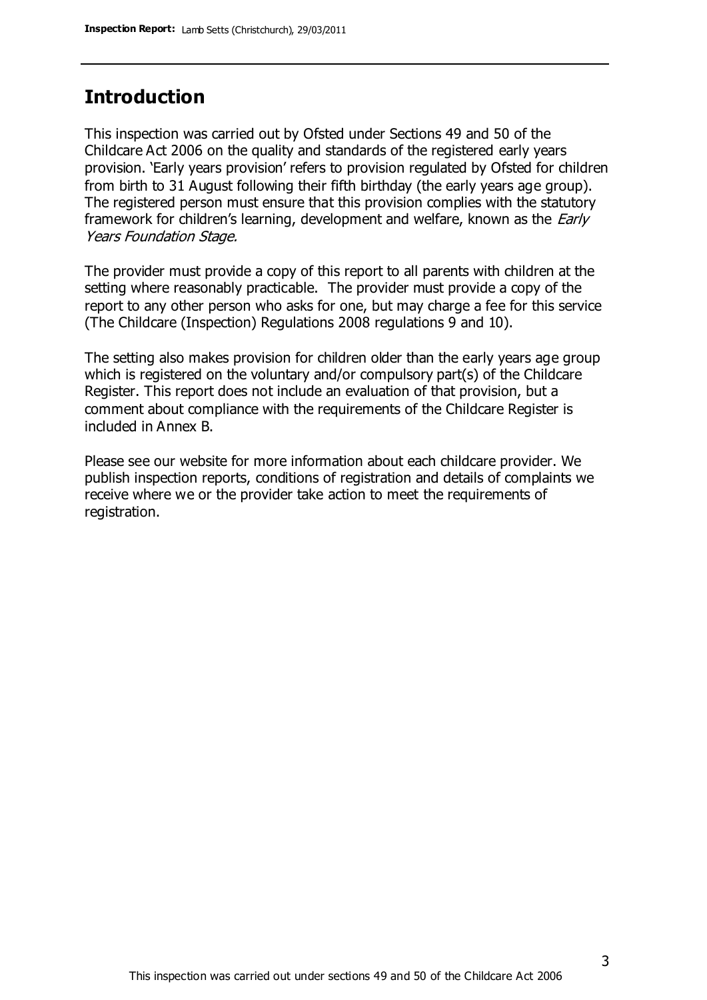## **Introduction**

This inspection was carried out by Ofsted under Sections 49 and 50 of the Childcare Act 2006 on the quality and standards of the registered early years provision. 'Early years provision' refers to provision regulated by Ofsted for children from birth to 31 August following their fifth birthday (the early years age group). The registered person must ensure that this provision complies with the statutory framework for children's learning, development and welfare, known as the *Early* Years Foundation Stage.

The provider must provide a copy of this report to all parents with children at the setting where reasonably practicable. The provider must provide a copy of the report to any other person who asks for one, but may charge a fee for this service (The Childcare (Inspection) Regulations 2008 regulations 9 and 10).

The setting also makes provision for children older than the early years age group which is registered on the voluntary and/or compulsory part(s) of the Childcare Register. This report does not include an evaluation of that provision, but a comment about compliance with the requirements of the Childcare Register is included in Annex B.

Please see our website for more information about each childcare provider. We publish inspection reports, conditions of registration and details of complaints we receive where we or the provider take action to meet the requirements of registration.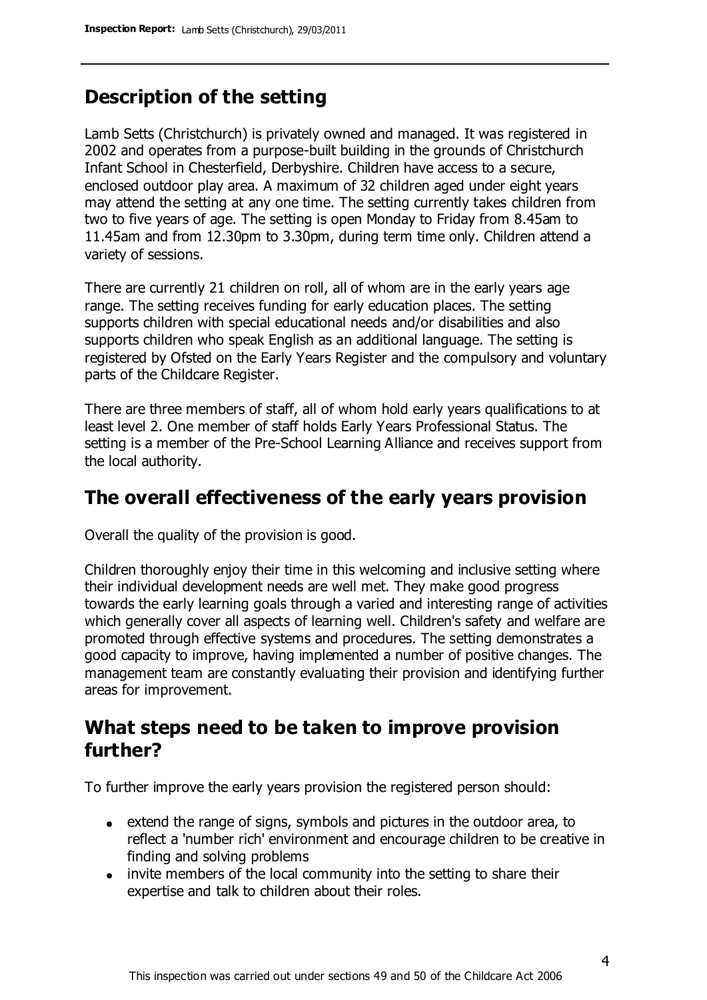## **Description of the setting**

Lamb Setts (Christchurch) is privately owned and managed. It was registered in 2002 and operates from a purpose-built building in the grounds of Christchurch Infant School in Chesterfield, Derbyshire. Children have access to a secure, enclosed outdoor play area. A maximum of 32 children aged under eight years may attend the setting at any one time. The setting currently takes children from two to five years of age. The setting is open Monday to Friday from 8.45am to 11.45am and from 12.30pm to 3.30pm, during term time only. Children attend a variety of sessions.

There are currently 21 children on roll, all of whom are in the early years age range. The setting receives funding for early education places. The setting supports children with special educational needs and/or disabilities and also supports children who speak English as an additional language. The setting is registered by Ofsted on the Early Years Register and the compulsory and voluntary parts of the Childcare Register.

There are three members of staff, all of whom hold early years qualifications to at least level 2. One member of staff holds Early Years Professional Status. The setting is a member of the Pre-School Learning Alliance and receives support from the local authority.

## **The overall effectiveness of the early years provision**

Overall the quality of the provision is good.

Children thoroughly enjoy their time in this welcoming and inclusive setting where their individual development needs are well met. They make good progress towards the early learning goals through a varied and interesting range of activities which generally cover all aspects of learning well. Children's safety and welfare are promoted through effective systems and procedures. The setting demonstrates a good capacity to improve, having implemented a number of positive changes. The management team are constantly evaluating their provision and identifying further areas for improvement.

## **What steps need to be taken to improve provision further?**

To further improve the early years provision the registered person should:

- extend the range of signs, symbols and pictures in the outdoor area, to reflect a 'number rich' environment and encourage children to be creative in finding and solving problems
- invite members of the local community into the setting to share their expertise and talk to children about their roles.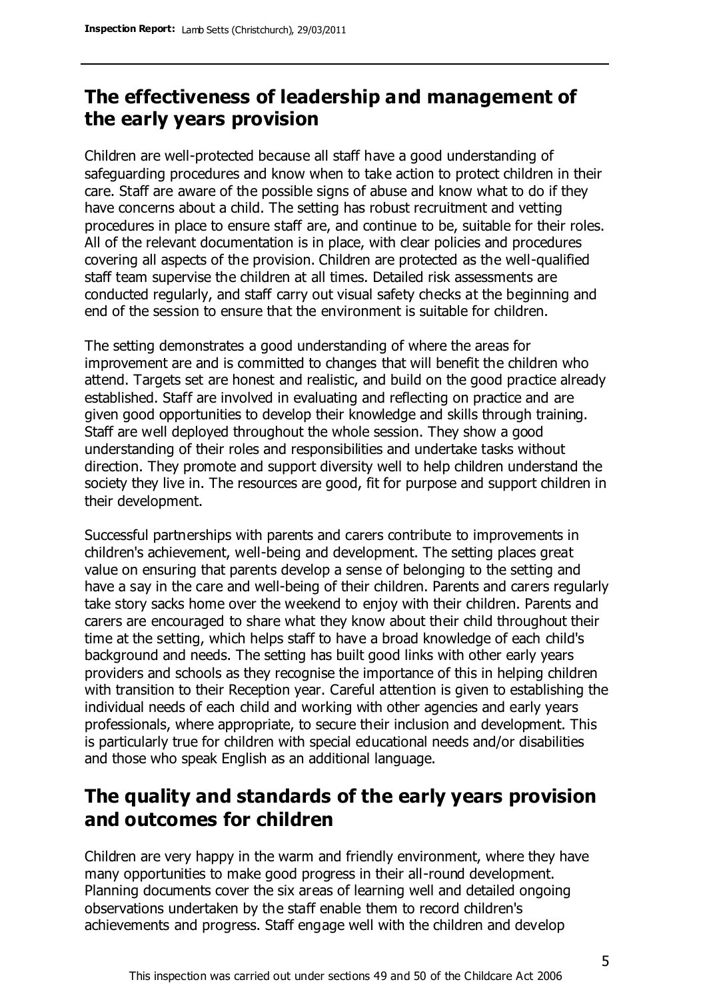# **The effectiveness of leadership and management of the early years provision**

Children are well-protected because all staff have a good understanding of safeguarding procedures and know when to take action to protect children in their care. Staff are aware of the possible signs of abuse and know what to do if they have concerns about a child. The setting has robust recruitment and vetting procedures in place to ensure staff are, and continue to be, suitable for their roles. All of the relevant documentation is in place, with clear policies and procedures covering all aspects of the provision. Children are protected as the well-qualified staff team supervise the children at all times. Detailed risk assessments are conducted regularly, and staff carry out visual safety checks at the beginning and end of the session to ensure that the environment is suitable for children.

The setting demonstrates a good understanding of where the areas for improvement are and is committed to changes that will benefit the children who attend. Targets set are honest and realistic, and build on the good practice already established. Staff are involved in evaluating and reflecting on practice and are given good opportunities to develop their knowledge and skills through training. Staff are well deployed throughout the whole session. They show a good understanding of their roles and responsibilities and undertake tasks without direction. They promote and support diversity well to help children understand the society they live in. The resources are good, fit for purpose and support children in their development.

Successful partnerships with parents and carers contribute to improvements in children's achievement, well-being and development. The setting places great value on ensuring that parents develop a sense of belonging to the setting and have a say in the care and well-being of their children. Parents and carers regularly take story sacks home over the weekend to enjoy with their children. Parents and carers are encouraged to share what they know about their child throughout their time at the setting, which helps staff to have a broad knowledge of each child's background and needs. The setting has built good links with other early years providers and schools as they recognise the importance of this in helping children with transition to their Reception year. Careful attention is given to establishing the individual needs of each child and working with other agencies and early years professionals, where appropriate, to secure their inclusion and development. This is particularly true for children with special educational needs and/or disabilities and those who speak English as an additional language.

# **The quality and standards of the early years provision and outcomes for children**

Children are very happy in the warm and friendly environment, where they have many opportunities to make good progress in their all-round development. Planning documents cover the six areas of learning well and detailed ongoing observations undertaken by the staff enable them to record children's achievements and progress. Staff engage well with the children and develop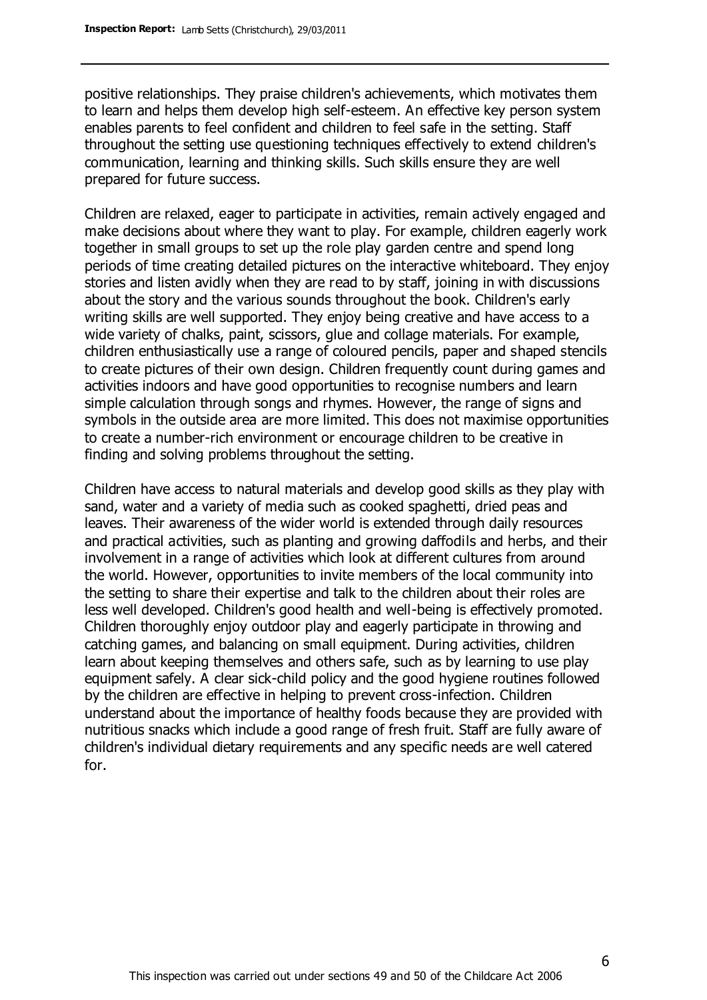positive relationships. They praise children's achievements, which motivates them to learn and helps them develop high self-esteem. An effective key person system enables parents to feel confident and children to feel safe in the setting. Staff throughout the setting use questioning techniques effectively to extend children's communication, learning and thinking skills. Such skills ensure they are well prepared for future success.

Children are relaxed, eager to participate in activities, remain actively engaged and make decisions about where they want to play. For example, children eagerly work together in small groups to set up the role play garden centre and spend long periods of time creating detailed pictures on the interactive whiteboard. They enjoy stories and listen avidly when they are read to by staff, joining in with discussions about the story and the various sounds throughout the book. Children's early writing skills are well supported. They enjoy being creative and have access to a wide variety of chalks, paint, scissors, glue and collage materials. For example, children enthusiastically use a range of coloured pencils, paper and shaped stencils to create pictures of their own design. Children frequently count during games and activities indoors and have good opportunities to recognise numbers and learn simple calculation through songs and rhymes. However, the range of signs and symbols in the outside area are more limited. This does not maximise opportunities to create a number-rich environment or encourage children to be creative in finding and solving problems throughout the setting.

Children have access to natural materials and develop good skills as they play with sand, water and a variety of media such as cooked spaghetti, dried peas and leaves. Their awareness of the wider world is extended through daily resources and practical activities, such as planting and growing daffodils and herbs, and their involvement in a range of activities which look at different cultures from around the world. However, opportunities to invite members of the local community into the setting to share their expertise and talk to the children about their roles are less well developed. Children's good health and well-being is effectively promoted. Children thoroughly enjoy outdoor play and eagerly participate in throwing and catching games, and balancing on small equipment. During activities, children learn about keeping themselves and others safe, such as by learning to use play equipment safely. A clear sick-child policy and the good hygiene routines followed by the children are effective in helping to prevent cross-infection. Children understand about the importance of healthy foods because they are provided with nutritious snacks which include a good range of fresh fruit. Staff are fully aware of children's individual dietary requirements and any specific needs are well catered for.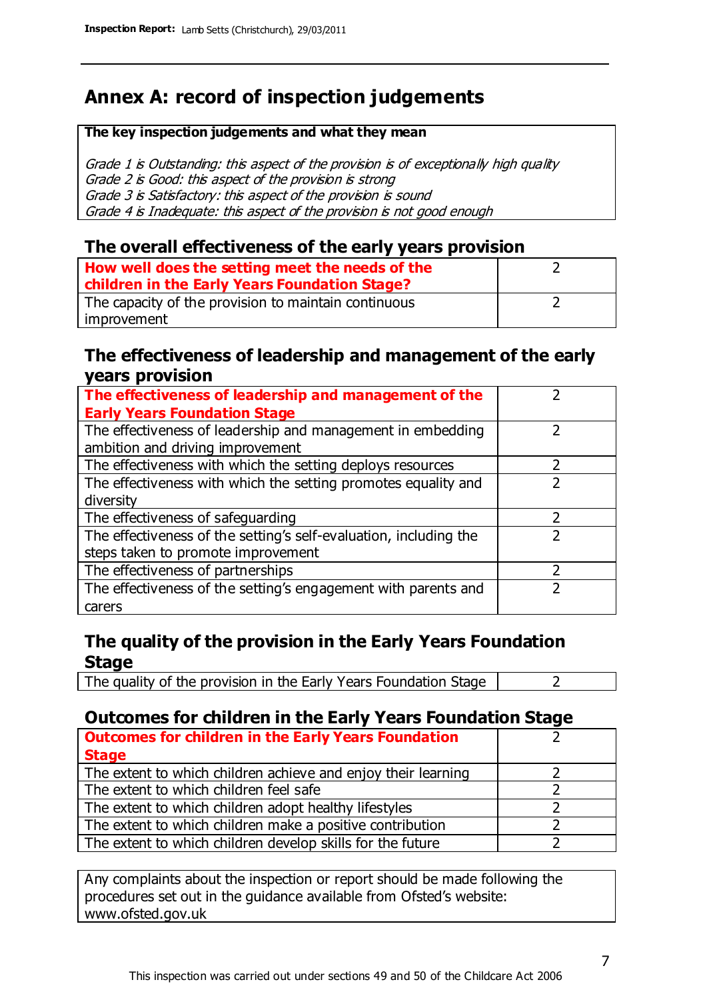# **Annex A: record of inspection judgements**

#### **The key inspection judgements and what they mean**

Grade 1 is Outstanding: this aspect of the provision is of exceptionally high quality Grade 2 is Good: this aspect of the provision is strong Grade 3 is Satisfactory: this aspect of the provision is sound Grade 4 is Inadequate: this aspect of the provision is not good enough

#### **The overall effectiveness of the early years provision**

| How well does the setting meet the needs of the<br>children in the Early Years Foundation Stage? |  |
|--------------------------------------------------------------------------------------------------|--|
| The capacity of the provision to maintain continuous                                             |  |
| improvement                                                                                      |  |

#### **The effectiveness of leadership and management of the early years provision**

| The effectiveness of leadership and management of the             |  |
|-------------------------------------------------------------------|--|
| <b>Early Years Foundation Stage</b>                               |  |
| The effectiveness of leadership and management in embedding       |  |
| ambition and driving improvement                                  |  |
| The effectiveness with which the setting deploys resources        |  |
| The effectiveness with which the setting promotes equality and    |  |
| diversity                                                         |  |
| The effectiveness of safeguarding                                 |  |
| The effectiveness of the setting's self-evaluation, including the |  |
| steps taken to promote improvement                                |  |
| The effectiveness of partnerships                                 |  |
| The effectiveness of the setting's engagement with parents and    |  |
| carers                                                            |  |

#### **The quality of the provision in the Early Years Foundation Stage**

The quality of the provision in the Early Years Foundation Stage  $\vert$  2

### **Outcomes for children in the Early Years Foundation Stage**

| <b>Outcomes for children in the Early Years Foundation</b>    |  |
|---------------------------------------------------------------|--|
| <b>Stage</b>                                                  |  |
| The extent to which children achieve and enjoy their learning |  |
| The extent to which children feel safe                        |  |
| The extent to which children adopt healthy lifestyles         |  |
| The extent to which children make a positive contribution     |  |
| The extent to which children develop skills for the future    |  |

Any complaints about the inspection or report should be made following the procedures set out in the guidance available from Ofsted's website: www.ofsted.gov.uk